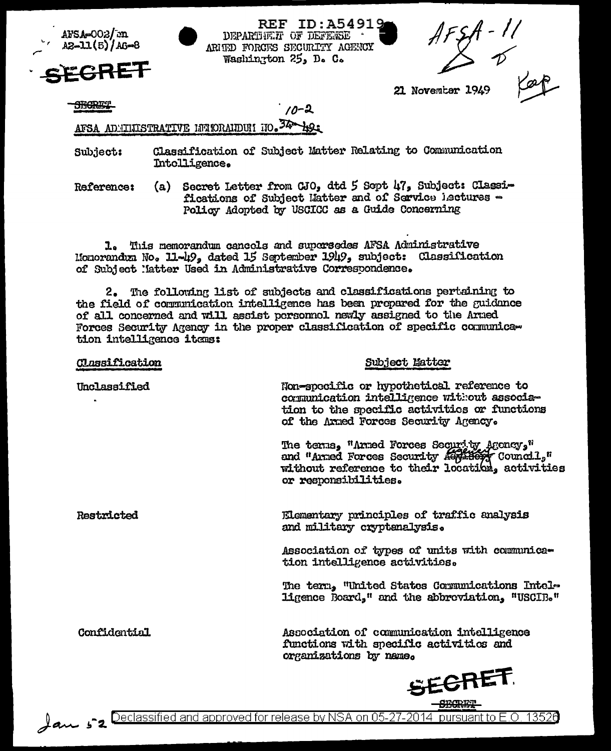

**REF ID: A5491** DEPARTMENT OF DEFENSE ARITED FORCTSS SECURITY AGENCY Washington 25, D. C.

 $10 - 2$ 

21 November 1949

**SHORET** 

# AFSA ADMINISTRATIVE INTORAIDUI NO. 34 hos

- Classification of Subject Matter Relating to Communication Subject: Intolligence.
- Secret Letter from CJO, dtd 5 Sept 47, Subject: Classi-**Reference:**  $(a)$ fications of Subject Hatter and of Service lectures -Policy Adopted by USCICC as a Guide Concerning

1. This memorandum cancels and supersedes AFSA Administrative Monorandum No. 11-49, dated 15 September 1949, subject: Classification of Subject Matter Used in Administrative Correspondence.

2. The following list of subjects and classifications pertaining to the field of communication intelligence has been propared for the guidance of all concerned and will assist personnol newly assigned to the Arned Forces Security Agency in the proper classification of specific communication intelligence items:

| <b>Classification</b> | Subject Matter                                                                                                                                                                  |
|-----------------------|---------------------------------------------------------------------------------------------------------------------------------------------------------------------------------|
| Unclassified          | Non-specific or hypothetical reference to<br>comunication intelligence without associa-<br>tion to the specific activities or functions<br>of the Armed Forces Security Agency. |
|                       | The terms, "Armed Forces Security Agency,"<br>and "Arned Forces Security Authory Council,"<br>without reference to their location, activities<br>or responsibilities.           |
| Restricted            | Elementary principles of traffic analysis<br>and military cryptenalysis.                                                                                                        |
|                       | Association of types of units with communica-<br>tion intelligence activities.                                                                                                  |
|                       | The term, "United States Communications Intel-<br>ligence Board," and the abbroviation, "USCIB."                                                                                |
| Confidential          | Association of communication intelligence<br>functions with specific activities and<br>organizations by name.                                                                   |
|                       | <b>SECRET</b>                                                                                                                                                                   |
|                       | ermer                                                                                                                                                                           |



- <u>Downer - Production</u><br>2014 Declassified and approved for release by NSA on 05-27-2014 pursuant to E.O. 13526 میلی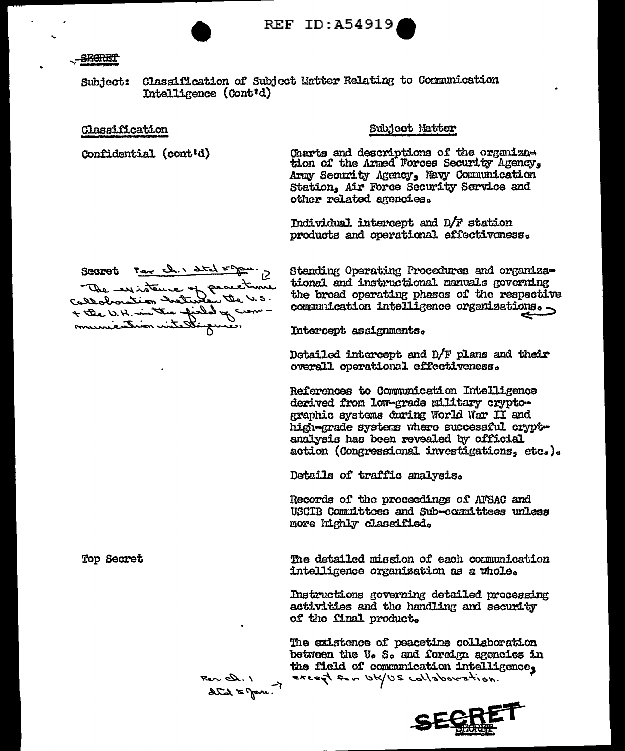**REF ID:A54919** 

### **STARTT**

Subject: Classification of Subject Matter Relating to Communication Intelligence (Cont'd)

## Classification

Top Secret

Confidential (cont'd)

## Subject Matter

Charts and descriptions of the organization of the Armed Forces Security Agency, Army Security Agency, Navy Communication Station. Air Force Security Service and other related agencies.

Individual intercept and  $D/F$  station products and operational effectivoness.

Secret Per ch. 1 dtd = Jan. 12 The expiration of peacetrine + the U.H. in the field of com-

Standing Operating Procedures and organizational and instructional nanuals governing the broad operating phases of the respective communication intelligence organizations.

Intercept assignments.

Detailed intercept and D/F plans and their overall operational effectiveness.

References to Communication Intelligence derived from low-grade military cryptographic systems during World War II and high-grade systems where successful cryptanalysis has been revealed by official action (Congressional investigations, etc.).

Details of traffic analysis.

Records of the proceedings of AFSAC and USCIB Committoes and Sub-committees unless more highly classified.

The detailed mission of each communication intelligence organization as a whole.

Instructions governing detailed processing activities and the handling and security of the final product.

The existence of peacetime collaboration between the U. S. and foreign agencies in the field of communication intelligence, except for UK/US collaboration.



Per D. 1<br>data 5 Jan. 1